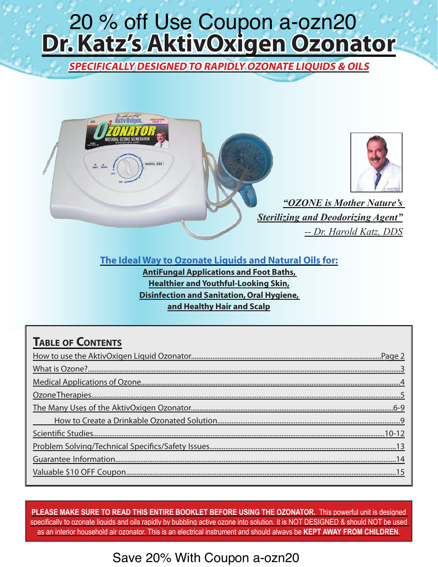# <span id="page-0-0"></span>**Dr. Katz's AktivOxigen Ozonator** 20 % off [U](http://www.therabreath.com/oral-care-accessories/ozonator/?affid=2296)se Coupon a-ozn20

**SPECIFICALLY DESIGNED TO RAPIDLY OZONATE LIQUIDS & OILS** 



*-- Dr. Harold Katz, DDS*

**The Ideal Way to Ozonate Liquids and Natural Oils for:** 

**AntiFungal Applications and Foot Baths, Healthier and Youthful-Looking Skin, Disinfection and Sanitation, Oral Hygiene, And Healthy Hair and Scalp** 

### **TABLE OF CONTENTS**

**PLEASE MAKE SURE TO READ THIS ENTIRE BOOKLET BEFORE USING THE OZONATOR.** This powerful unit is designed specifically to ozonate liquids and oils rapidly by bubbling active ozone into solution. It is NOT DESIGNED & should NOT be used as an interior household air ozonator. This is an electrical instrument and should always be **KEPT AWAY FROM CHILDREN**.

### Save 20% With Coupon a-ozn20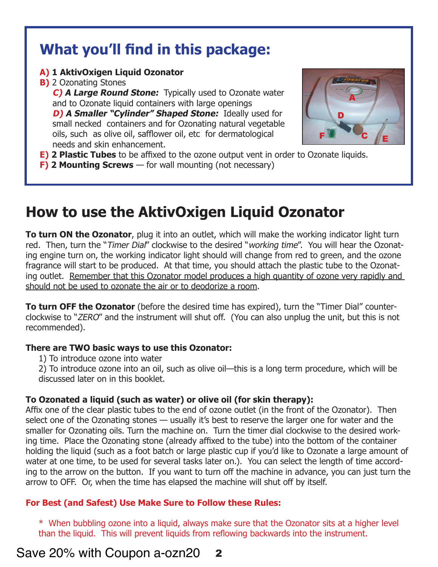# **What you'll find in this package:**

#### **A) 1 AktivOxigen Liquid Ozonator**

#### **B)** 2 Ozonating Stones

**C) A Large Round Stone:** Typically used to Ozonate water and to Ozonate liquid containers with large openings

**D) A Smaller "Cylinder" Shaped Stone:** Ideally used for small necked containers and for Ozonating natural vegetable oils, such as olive oil, safflower oil, etc for dermatological needs and skin enhancement.



- **E) 2 Plastic Tubes** to be affixed to the ozone output vent in order to Ozonate liquids.
- **F) 2 Mounting Screws** for wall mounting (not necessary)

# **[How to use the AktivOxigen Liquid Ozonator](http://www.therabreath.com/oral-care-accessories/ozonator/?affid=2296)**

**To turn ON the Ozonator**, plug it into an outlet, which will make the working indicator light turn red. Then, turn the "Timer Dial" clockwise to the desired "working time". You will hear the Ozonating engine turn on, the working indicator light should will change from red to green, and the ozone fragrance will start to be produced. At that time, you should attach the plastic tube to the Ozonating outlet. Remember that this Ozonator model produces a high quantity of ozone very rapidly and should not be used to ozonate the air or to deodorize a room.

**To turn OFF the Ozonator** (before the desired time has expired), turn the "Timer Dial" counterclockwise to "ZERO" and the instrument will shut off. (You can also unplug the unit, but this is not recommended).

#### **There are TWO basic ways to use this Ozonator:**

- 1) To introduce ozone into water
- 2) To introduce ozone into an oil, such as olive oil—this is a long term procedure, which will be discussed later on in this booklet.

#### **To Ozonated a liquid (such as water) or olive oil (for skin therapy):**

Affix one of the clear plastic tubes to the end of ozone outlet (in the front of the Ozonator). Then select one of the Ozonating stones — usually it's best to reserve the larger one for water and the smaller for Ozonating oils. Turn the machine on. Turn the timer dial clockwise to the desired working time. Place the Ozonating stone (already affixed to the tube) into the bottom of the container holding the liquid (such as a foot batch or large plastic cup if you'd like to Ozonate a large amount of water at one time, to be used for several tasks later on.). You can select the length of time according to the arrow on the button. If you want to turn off the machine in advance, you can just turn the arrow to OFF. Or, when the time has elapsed the machine will shut off by itself.

#### **For Best (and Safest) Use Make Sure to Follow these Rules:**

\* When bubbling ozone into a liquid, always make sure that the Ozonator sits at a higher level than the liquid. This will prevent liquids from reflowing backwards into the instrument.

### Save 20% with Coupon a-ozn20 2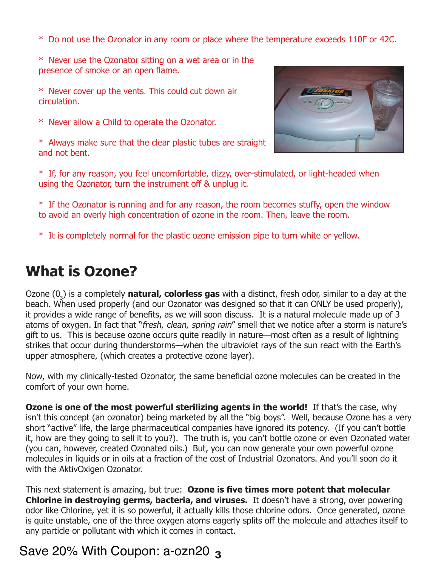- \* Do not use the Ozonator in any room or place where the temperature exceeds 110F or 42C.
- \* Never use the Ozonator sitting on a wet area or in the presence of smoke or an open flame.
- \* Never cover up the vents. This could cut down air circulation.
- \* Never allow a Child to operate the Ozonator.
- \* Always make sure that the clear plastic tubes are straight and not bent.



- \* If, for any reason, you feel uncomfortable, dizzy, over-stimulated, or light-headed when using the Ozonator, turn the instrument off & unplug it.
- \* If the Ozonator is running and for any reason, the room becomes stuffy, open the window to avoid an overly high concentration of ozone in the room. Then, leave the room.
- \* It is completely normal for the plastic ozone emission pipe to turn white or yellow.

## **What is Ozone?**

Ozone (0<sub>3</sub>) is a completely **natural, colorless gas** with a distinct, fresh odor, similar to a day at the beach. When used properly (and our Ozonator was designed so that it can ONLY be used properly), it provides a wide range of benefits, as we will soon discuss. It is a natural molecule made up of 3 atoms of oxygen. In fact that "fresh, clean, spring rain" smell that we notice after a storm is nature's gift to us. This is because ozone occurs quite readily in nature—most often as a result of lightning strikes that occur during thunderstorms—when the ultraviolet rays of the sun react with the Earth's upper atmosphere, (which creates a protective ozone layer).

Now, with my clinically-tested Ozonator, the same beneficial ozone molecules can be created in the comfort of your own home.

**Ozone is one of the most powerful sterilizing agents in the world!** If that's the case, why [isn't this concept \(an ozonator\) being marketed by all the "big boys". Well, because Ozone has a very](http://www.therabreath.com/oral-care-accessories/ozonator/?affid=2296)  short "active" life, the large pharmaceutical companies have ignored its potency. (If you can't bottle it, how are they going to sell it to you?). The truth is, you can't bottle ozone or even Ozonated water (you can, however, created Ozonated oils.) But, you can now generate your own powerful ozone molecules in liquids or in oils at a fraction of the cost of Industrial Ozonators. And you'll soon do it with the AktivOxigen Ozonator.

This next statement is amazing, but true: **Ozone is five times more potent that molecular Chlorine in destroying germs, bacteria, and viruses.** It doesn't have a strong, over powering odor like Chlorine, yet it is so powerful, it actually kills those chlorine odors. Once generated, ozone is quite unstable, one of the three oxygen atoms eagerly splits off the molecule and attaches itself to any particle or pollutant with which it comes in contact.

### Save 20% With Coupon: a-ozn20 3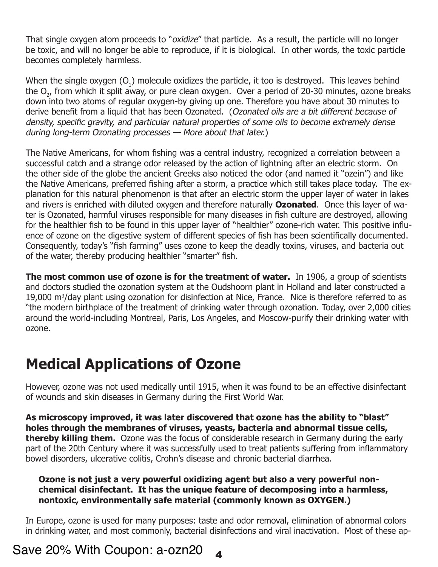That single oxygen atom proceeds to "*oxidize"* that particle. As a result, the particle will no longer be toxic, and will no longer be able to reproduce, if it is biological. In other words, the toxic particle becomes completely harmless.

When the single oxygen (O<sub>1</sub>) molecule oxidizes the particle, it too is destroyed. This leaves behind the  $O_{2'}$  from which it split away, or pure clean oxygen. Over a period of 20-30 minutes, ozone breaks down into two atoms of regular oxygen-by giving up one. Therefore you have about 30 minutes to derive benefit from a liquid that has been Ozonated. (Ozonated oils are a bit different because of density, specific gravity, and particular natural properties of some oils to become extremely dense during long-term Ozonating processes — More about that later.)

The Native Americans, for whom fishing was a central industry, recognized a correlation between a successful catch and a strange odor released by the action of lightning after an electric storm. On the other side of the globe the ancient Greeks also noticed the odor (and named it "ozein") and like the Native Americans, preferred fishing after a storm, a practice which still takes place today. The explanation for this natural phenomenon is that after an electric storm the upper layer of water in lakes and rivers is enriched with diluted oxygen and therefore naturally **Ozonated**. Once this layer of water is Ozonated, harmful viruses responsible for many diseases in fish culture are destroyed, allowing for the healthier fish to be found in this upper layer of "healthier" ozone-rich water. This positive influence of ozone on the digestive system of different species of fish has been scientifically documented. Consequently, today's "fish farming" uses ozone to keep the deadly toxins, viruses, and bacteria out of the water, thereby producing healthier "smarter" fish.

**The most common use of ozone is for the treatment of water.** In 1906, a group of scientists and doctors studied the ozonation system at the Oudshoorn plant in Holland and later constructed a 19,000 m<sup>3</sup>/day plant using ozonation for disinfection at Nice, France. Nice is therefore referred to as ["the modern birthplace of the treatment of drinking water through ozonation. Today, over 2,000 cities](http://www.therabreath.com/oral-care-accessories/ozonator/?affid=2296)  around the world-including Montreal, Paris, Los Angeles, and Moscow-purify their drinking water with ozone.

# **Medical Applications of Ozone**

However, ozone was not used medically until 1915, when it was found to be an effective disinfectant of wounds and skin diseases in Germany during the First World War.

**As microscopy improved, it was later discovered that ozone has the ability to "blast" holes through the membranes of viruses, yeasts, bacteria and abnormal tissue cells, thereby killing them.** Ozone was the focus of considerable research in Germany during the early part of the 20th Century where it was successfully used to treat patients suffering from inflammatory bowel disorders, ulcerative colitis, Crohn's disease and chronic bacterial diarrhea.

#### **Ozone is not just a very powerful oxidizing agent but also a very powerful nonchemical disinfectant. It has the unique feature of decomposing into a harmless, nontoxic, environmentally safe material (commonly known as OXYGEN.)**

In Europe, ozone is used for many purposes: taste and odor removal, elimination of abnormal colors in drinking water, and most commonly, bacterial disinfections and viral inactivation. Most of these ap-

### Save 20% With Coupon: a-ozn20 4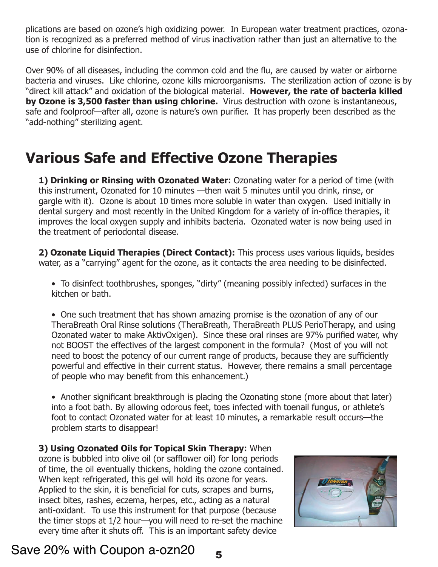plications are based on ozone's high oxidizing power. In European water treatment practices, ozonation is recognized as a preferred method of virus inactivation rather than just an alternative to the use of chlorine for disinfection.

Over 90% of all diseases, including the common cold and the flu, are caused by water or airborne bacteria and viruses. Like chlorine, ozone kills microorganisms. The sterilization action of ozone is by "direct kill attack" and oxidation of the biological material. **However, the rate of bacteria killed by Ozone is 3,500 faster than using chlorine.** Virus destruction with ozone is instantaneous, safe and foolproof—after all, ozone is nature's own purifier. It has properly been described as the "add-nothing" sterilizing agent.

# **[Various Safe and Effective Ozone Therapies](http://www.therabreath.com/oral-care-accessories/ozonator/?affid=2296)**

**1) Drinking or Rinsing with Ozonated Water:** Ozonating water for a period of time (with this instrument, Ozonated for 10 minutes —then wait 5 minutes until you drink, rinse, or gargle with it). Ozone is about 10 times more soluble in water than oxygen. Used initially in dental surgery and most recently in the United Kingdom for a variety of in-office therapies, it improves the local oxygen supply and inhibits bacteria. Ozonated water is now being used in the treatment of periodontal disease.

**2) Ozonate Liquid Therapies (Direct Contact):** This process uses various liquids, besides water, as a "carrying" agent for the ozone, as it contacts the area needing to be disinfected.

• To disinfect toothbrushes, sponges, "dirty" (meaning possibly infected) surfaces in the kitchen or bath.

• One such treatment that has shown amazing promise is the ozonation of any of our TheraBreath Oral Rinse solutions (TheraBreath, TheraBreath PLUS PerioTherapy, and using Ozonated water to make AktivOxigen). Since these oral rinses are 97% purified water, why not BOOST the effectives of the largest component in the formula? (Most of you will not need to boost the potency of our current range of products, because they are sufficiently powerful and effective in their current status. However, there remains a small percentage of people who may benefit from this enhancement.)

• Another significant breakthrough is placing the Ozonating stone (more about that later) into a foot bath. By allowing odorous feet, toes infected with toenail fungus, or athlete's foot to contact Ozonated water for at least 10 minutes, a remarkable result occurs—the problem starts to disappear!

**3) Using Ozonated Oils for Topical Skin Therapy:** When ozone is bubbled into olive oil (or safflower oil) for long periods of time, the oil eventually thickens, holding the ozone contained. When kept refrigerated, this gel will hold its ozone for years. Applied to the skin, it is beneficial for cuts, scrapes and burns, insect bites, rashes, eczema, herpes, etc., acting as a natural anti-oxidant. To use this instrument for that purpose (because the timer stops at 1/2 hour—you will need to re-set the machine every time after it shuts off. This is an important safety device



### Save 20% with Coupon a-ozn20  $5$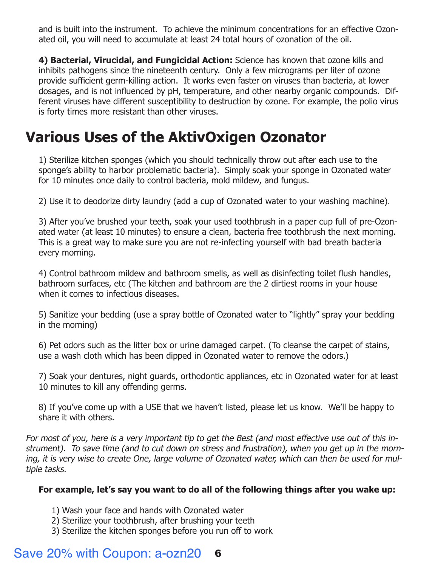[and is built into the instrument. To achieve the minimum concentrations for an effective Ozon](http://ozoneforwater.com/ozonator)ated oil, you will need to accumulate at least 24 total hours of ozonation of the oil.

**4) Bacterial, Virucidal, and Fungicidal Action:** Science has known that ozone kills and inhibits pathogens since the nineteenth century. Only a few micrograms per liter of ozone provide sufficient germ-killing action. It works even faster on viruses than bacteria, at lower dosages, and is not influenced by pH, temperature, and other nearby organic compounds. Different viruses have different susceptibility to destruction by ozone. For example, the polio virus is forty times more resistant than other viruses.

# **[Various Uses of the AktivOxigen Ozonator](#page-0-0)**

1) Sterilize kitchen sponges (which you should technically throw out after each use to the sponge's ability to harbor problematic bacteria). Simply soak your sponge in Ozonated water for 10 minutes once daily to control bacteria, mold mildew, and fungus.

2) Use it to deodorize dirty laundry (add a cup of Ozonated water to your washing machine).

3) After you've brushed your teeth, soak your used toothbrush in a paper cup full of pre-Ozonated water (at least 10 minutes) to ensure a clean, bacteria free toothbrush the next morning. This is a great way to make sure you are not re-infecting yourself with bad breath bacteria every morning.

4) Control bathroom mildew and bathroom smells, as well as disinfecting toilet flush handles, bathroom surfaces, etc (The kitchen and bathroom are the 2 dirtiest rooms in your house when it comes to infectious diseases.

5) Sanitize your bedding (use a spray bottle of Ozonated water to "lightly" spray your bedding in the morning)

6) Pet odors such as the litter box or urine damaged carpet. (To cleanse the carpet of stains, use a wash cloth which has been dipped in Ozonated water to remove the odors.)

7) Soak your dentures, night guards, orthodontic appliances, etc in Ozonated water for at least 10 minutes to kill any offending germs.

8) If you've come up with a USE that we haven't listed, please let us know. We'll be happy to share it with others.

For most of you, here is a very important tip to get the Best (and most effective use out of this instrument). To save time (and to cut down on stress and frustration), when you get up in the morning, it is very wise to create One, large volume of Ozonated water, which can then be used for multiple tasks.

#### **For example, let's say you want to do all of the following things after you wake up:**

- 1) Wash your face and hands with Ozonated water
- 2) Sterilize your toothbrush, after brushing your teeth
- 3) Sterilize the kitchen sponges before you run off to work

### Save 20% with Coupon: a-ozn20 6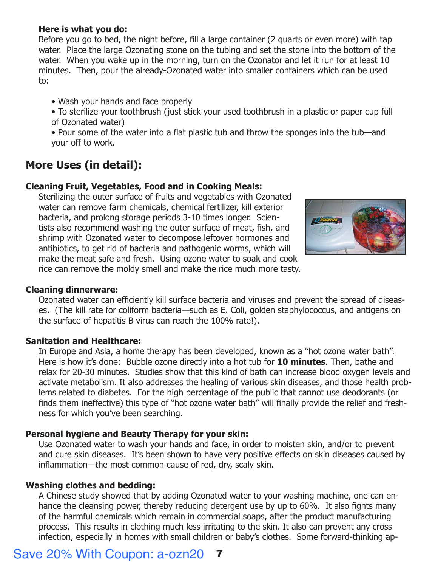#### **Here is what you do:**

Before you go to bed, the night before, fill a large container (2 quarts or even more) with tap water. Place the large Ozonating stone on the tubing and set the stone into the bottom of the water. When you wake up in the morning, turn on the Ozonator and let it run for at least 10 minutes. Then, pour the already-Ozonated water into smaller containers which can be used to:

• Wash your hands and face properly

- To sterilize your toothbrush (just stick your used toothbrush in a plastic or paper cup full of Ozonated water)
- Pour some of the water into a flat plastic tub and throw the sponges into the tub—and your off to work.

### **More Uses (in detail):**

#### **Cleaning Fruit, Vegetables, Food and in Cooking Meals:**

Sterilizing the outer surface of fruits and vegetables with Ozonated water can remove farm chemicals, chemical fertilizer, kill exterior bacteria, and prolong storage periods 3-10 times longer. Scientists also recommend washing the outer surface of meat, fish, and shrimp with Ozonated water to decompose leftover hormones and antibiotics, to get rid of bacteria and pathogenic worms, which will make the meat safe and fresh. Using ozone water to soak and cook rice can remove the moldy smell and make the rice much more tasty.



#### **Cleaning dinnerware:**

Ozonated water can efficiently kill surface bacteria and viruses and prevent the spread of diseases. (The kill rate for coliform bacteria—such as E. Coli, golden staphylococcus, and antigens on the surface of hepatitis B virus can reach the 100% rate!).

#### **Sanitation and Healthcare:**

In Europe and Asia, a home therapy has been developed, known as a "hot ozone water bath". Here is how it's done: Bubble ozone directly into a hot tub for **10 minutes**. Then, bathe and [relax for 20-30 minutes. Studies show that this kind of bath can increase blood oxygen levels and](http://ozoneforwater.com/ozonator)  activate metabolism. It also addresses the healing of various skin diseases, and those health problems related to diabetes. For the high percentage of the public that cannot use deodorants (or finds them ineffective) this type of "hot ozone water bath" will finally provide the relief and freshness for which you've been searching.

#### **Personal hygiene and Beauty Therapy for your skin:**

Use Ozonated water to wash your hands and face, in order to moisten skin, and/or to prevent and cure skin diseases. It's been shown to have very positive effects on skin diseases caused by inflammation—the most common cause of red, dry, scaly skin.

#### **Washing clothes and bedding:**

A Chinese study showed that by adding Ozonated water to your washing machine, one can enhance the cleansing power, thereby reducing detergent use by up to 60%. It also fights many of the harmful chemicals which remain in commercial soaps, after the product manufacturing process. This results in clothing much less irritating to the skin. It also can prevent any cross infection, especially in homes with small children or baby's clothes. Some forward-thinking ap-

### Save 20% With Coupon: a-ozn20 7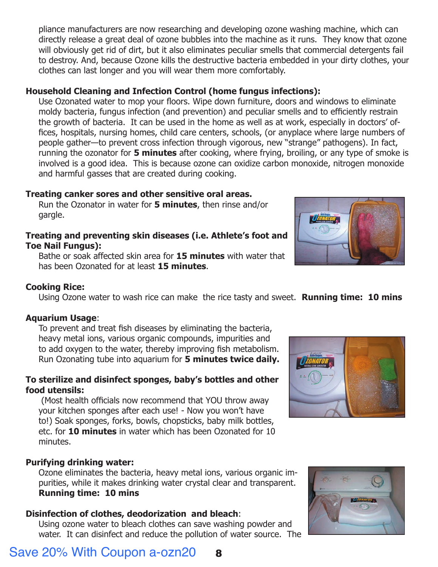pliance manufacturers are now researching and developing ozone washing machine, which can directly release a great deal of ozone bubbles into the machine as it runs. They know that ozone will obviously get rid of dirt, but it also eliminates peculiar smells that commercial detergents fail [to destroy. And, because Ozone kills the destructive bacteria embedded in your dirty clothes, your](http://www.therabreath.com/oral-care-accessories/ozonator/?affid=2296)  clothes can last longer and you will wear them more comfortably.

#### **Household Cleaning and Infection Control (home fungus infections):**

Use Ozonated water to mop your floors. Wipe down furniture, doors and windows to eliminate moldy bacteria, fungus infection (and prevention) and peculiar smells and to efficiently restrain the growth of bacteria. It can be used in the home as well as at work, especially in doctors' of fices, hospitals, nursing homes, child care centers, schools, (or anyplace where large numbers of people gather—to prevent cross infection through vigorous, new "strange" pathogens). In fact, running the ozonator for **5 minutes** after cooking, where frying, broiling, or any type of smoke is involved is a good idea. This is because ozone can oxidize carbon monoxide, nitrogen monoxide and harmful gasses that are created during cooking.

#### **Treating canker sores and other sensitive oral areas.**

Run the Ozonator in water for **5 minutes**, then rinse and/or gargle.

#### **Treating and preventing skin diseases (i.e. Athlete's foot and Toe Nail Fungus):**

Bathe or soak affected skin area for **15 minutes** with water that has been Ozonated for at least **15 minutes**.



Using Ozone water to wash rice can make the rice tasty and sweet. **Running time: 10 mins**

#### **Aquarium Usage**:

To prevent and treat fish diseases by eliminating the bacteria, heavy metal ions, various organic compounds, impurities and to add oxygen to the water, thereby improving fish metabolism. Run Ozonating tube into aquarium for **5 minutes twice daily.**

#### **To sterilize and disinfect sponges, baby's bottles and other food utensils:**

(Most health officials now recommend that YOU throw away your kitchen sponges after each use! - Now you won't have to!) Soak sponges, forks, bowls, chopsticks, baby milk bottles, etc. for **10 minutes** in water which has been Ozonated for 10 minutes.

#### **Purifying drinking water:**

Ozone eliminates the bacteria, heavy metal ions, various organic impurities, while it makes drinking water crystal clear and transparent. **Running time: 10 mins**

#### **Disinfection of clothes, deodorization and bleach**:

Using ozone water to bleach clothes can save washing powder and water. It can disinfect and reduce the pollution of water source. The



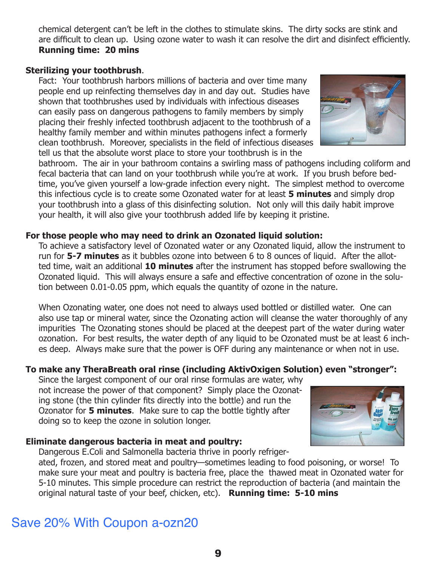Save 20% With Coupon a-ozn20

chemical detergent can't be left in the clothes to stimulate skins. The dirty socks are stink and are difficult to clean up. Using ozone water to wash it can resolve the dirt and disinfect efficiently. **Running time: 20 mins**

### **Sterilizing your toothbrush**.

Fact: Your toothbrush harbors millions of bacteria and over time many people end up reinfecting themselves day in and day out. Studies have shown that toothbrushes used by individuals with infectious diseases can easily pass on dangerous pathogens to family members by simply placing their freshly infected toothbrush adjacent to the toothbrush of a healthy family member and within minutes pathogens infect a formerly clean toothbrush. Moreover, specialists in the field of infectious diseases tell us that the absolute worst place to store your toothbrush is in the

bathroom. The air in your bathroom contains a swirling mass of pathogens including coliform and fecal bacteria that can land on your toothbrush while you're at work. If you brush before bedtime, you've given yourself a low-grade infection every night. The simplest method to overcome this infectious cycle is to create some Ozonated water for at least **5 minutes** and simply drop your toothbrush into a glass of this disinfecting solution. Not only will this daily habit improve your health, it will also give your toothbrush added life by keeping it pristine.

#### **For those people who may need to drink an Ozonated liquid solution:**

To achieve a satisfactory level of Ozonated water or any Ozonated liquid, allow the instrument to run for **5-7 minutes** as it bubbles ozone into between 6 to 8 ounces of liquid. After the allotted time, wait an additional **10 minutes** after the instrument has stopped before swallowing the Ozonated liquid. This will always ensure a safe and effective concentration of ozone in the solution between 0.01-0.05 ppm, which equals the quantity of ozone in the nature.

When Ozonating water, one does not need to always used bottled or distilled water. One can also use tap or mineral water, since the Ozonating action will cleanse the water thoroughly of any impurities The Ozonating stones should be placed at the deepest part of the water during water ozonation. For best results, the water depth of any liquid to be Ozonated must be at least 6 inches deep. Always make sure that the power is OFF during any maintenance or when not in use.

#### **To make any TheraBreath oral rinse (including AktivOxigen Solution) even "stronger":**

Since the largest component of our oral rinse formulas are water, why not increase the power of that component? Simply place the Ozonating stone (the thin cylinder fits directly into the bottle) and run the Ozonator for **5 minutes**. Make sure to cap the bottle tightly after doing so to keep the ozone in solution longer.

#### **Eliminate dangerous bacteria in meat and poultry:** Dangerous E.Coli and Salmonella bacteria thrive in poorly refriger-

ated, frozen, and stored meat and poultry—sometimes leading to food poisoning, or worse! To make sure your meat and poultry is bacteria free, place the thawed meat in Ozonated water for 5-10 minutes. This simple procedure can restrict the reproduction of bacteria (and maintain the original natural taste of your beef, chicken, etc). **Running time: 5-10 mins**



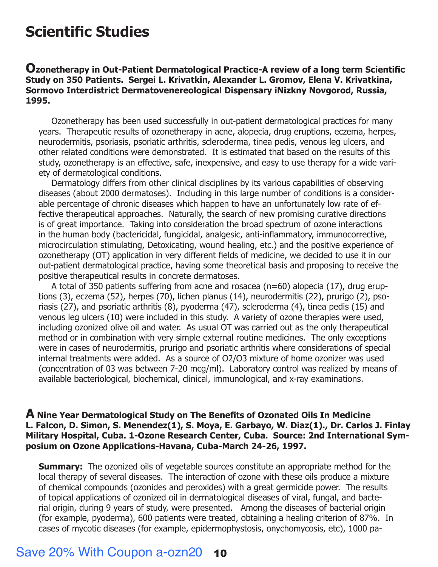### **Scientific Studies**

#### **[Ozonetherapy in Out-Patient Dermatological Practice-A review of a long term Scientic](http://www.therabreath.com/oral-care-accessories/ozonator/?affid=2296)  Study on 350 Patients. Sergei L. Krivatkin, Alexander L. Gromov, Elena V. Krivatkina, Sormovo Interdistrict Dermatovenereological Dispensary iNizkny Novgorod, Russia, 1995.**

 Ozonetherapy has been used successfully in out-patient dermatological practices for many years. Therapeutic results of ozonetherapy in acne, alopecia, drug eruptions, eczema, herpes, neurodermitis, psoriasis, psoriatic arthritis, scleroderma, tinea pedis, venous leg ulcers, and other related conditions were demonstrated. It is estimated that based on the results of this study, ozonetherapy is an effective, safe, inexpensive, and easy to use therapy for a wide variety of dermatological conditions.

 Dermatology differs from other clinical disciplines by its various capabilities of observing diseases (about 2000 dermatoses). Including in this large number of conditions is a considerable percentage of chronic diseases which happen to have an unfortunately low rate of effective therapeutical approaches. Naturally, the search of new promising curative directions is of great importance. Taking into consideration the broad spectrum of ozone interactions in the human body (bactericidal, fungicidal, analgesic, anti-inflammatory, immunocorrective, microcirculation stimulating, Detoxicating, wound healing, etc.) and the positive experience of ozonetherapy (OT) application in very different fields of medicine, we decided to use it in our out-patient dermatological practice, having some theoretical basis and proposing to receive the positive therapeutical results in concrete dermatoses.

 A total of 350 patients suffering from acne and rosacea (n=60) alopecia (17), drug eruptions (3), eczema (52), herpes (70), lichen planus (14), neurodermitis (22), prurigo (2), psoriasis (27), and psoriatic arthritis (8), pyoderma (47), scleroderma (4), tinea pedis (15) and venous leg ulcers (10) were included in this study. A variety of ozone therapies were used, including ozonized olive oil and water. As usual OT was carried out as the only therapeutical method or in combination with very simple external routine medicines. The only exceptions were in cases of neurodermitis, prurigo and psoriatic arthritis where considerations of special internal treatments were added. As a source of O2/O3 mixture of home ozonizer was used (concentration of 03 was between 7-20 mcg/ml). Laboratory control was realized by means of available bacteriological, biochemical, clinical, immunological, and x-ray examinations.

#### **A Nine Year Dermatological Study on The Benets of Ozonated Oils In Medicine L. Falcon, D. Simon, S. Menendez(1), S. Moya, E. Garbayo, W. Diaz(1)., Dr. Carlos J. Finlay Military Hospital, Cuba. 1-Ozone Research Center, Cuba. Source: 2nd International Symposium on Ozone Applications-Havana, Cuba-March 24-26, 1997.**

**Summary:** The ozonized oils of vegetable sources constitute an appropriate method for the local therapy of several diseases. The interaction of ozone with these oils produce a mixture of chemical compounds (ozonides and peroxides) with a great germicide power. The results of topical applications of ozonized oil in dermatological diseases of viral, fungal, and bacterial origin, during 9 years of study, were presented. Among the diseases of bacterial origin (for example, pyoderma), 600 patients were treated, obtaining a healing criterion of 87%. In cases of mycotic diseases (for example, epidermophystosis, onychomycosis, etc), 1000 pa-

### Save 20% With Coupon a-ozn20 **10**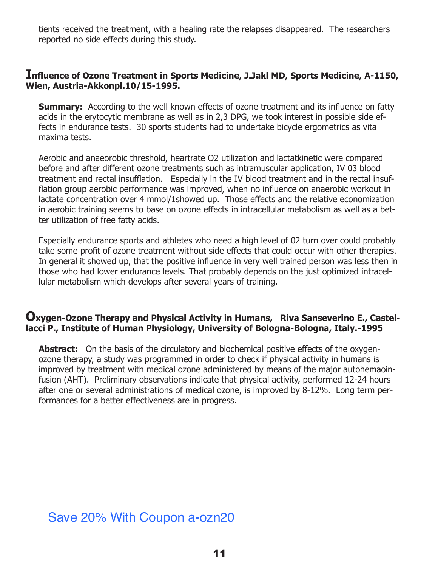tients received the treatment, with a healing rate the relapses disappeared. The researchers reported no side effects during this study.

#### **Influence of Ozone Treatment in Sports Medicine, J.Jakl MD, Sports Medicine, A-1150, Wien, Austria-Akkonpl.10/15-1995.**

**Summary:** According to the well known effects of ozone treatment and its influence on fatty acids in the erytocytic membrane as well as in 2,3 DPG, we took interest in possible side effects in endurance tests. 30 sports students had to undertake bicycle ergometrics as vita maxima tests.

Aerobic and anaeorobic threshold, heartrate O2 utilization and lactatkinetic were compared before and after different ozone treatments such as intramuscular application, IV 03 blood treatment and rectal insufflation. Especially in the IV blood treatment and in the rectal insufflation group aerobic performance was improved, when no influence on anaerobic workout in lactate concentration over 4 mmol/1showed up. Those effects and the relative economization in aerobic training seems to base on ozone effects in intracellular metabolism as well as a better utilization of free fatty acids.

Especially endurance sports and athletes who need a high level of 02 turn over could probably take some profit of ozone treatment without side effects that could occur with other therapies. In general it showed up, that the positive influence in very well trained person was less then in those who had lower endurance levels. That probably depends on the just optimized intracellular metabolism which develops after several years of training.

#### **Oxygen-Ozone Therapy and Physical Activity in Humans, Riva Sanseverino E., Castellacci P., Institute of Human Physiology, University of Bologna-Bologna, Italy.-1995**

**Abstract:** On the basis of the circulatory and biochemical positive effects of the oxygenozone therapy, a study was programmed in order to check if physical activity in humans is improved by treatment with medical ozone administered by means of the major autohemaoinfusion (AHT). Preliminary observations indicate that physical activity, performed 12-24 hours after one or several administrations of medical ozone, is improved by 8-12%. Long term performances for a better effectiveness are in progress.

### Save 20% With Coupon a-ozn20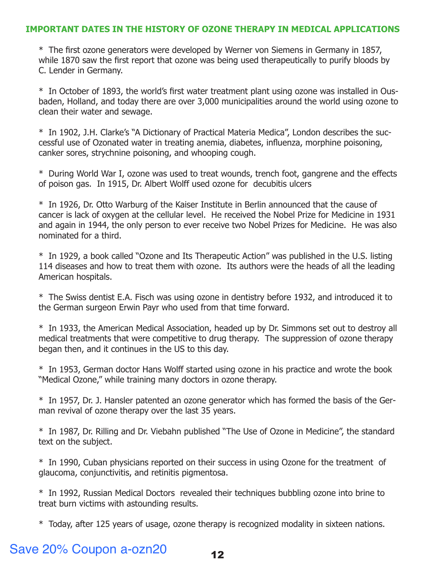#### **[IMPORTANT DATES IN THE HISTORY OF OZONE THERAPY IN MEDICAL APPLICATIONS](http://www.therabreath.com/oral-care-accessories/ozonator/?affid=2296)**

 $*$  The first ozone generators were developed by Werner von Siemens in Germany in 1857, while 1870 saw the first report that ozone was being used therapeutically to purify bloods by C. Lender in Germany.

\* In October of 1893, the world's first water treatment plant using ozone was installed in Ousbaden, Holland, and today there are over 3,000 municipalities around the world using ozone to clean their water and sewage.

\* In 1902, J.H. Clarke's "A Dictionary of Practical Materia Medica", London describes the successful use of Ozonated water in treating anemia, diabetes, influenza, morphine poisoning, canker sores, strychnine poisoning, and whooping cough.

\* During World War I, ozone was used to treat wounds, trench foot, gangrene and the effects of poison gas. In 1915, Dr. Albert Wolff used ozone for decubitis ulcers

\* In 1926, Dr. Otto Warburg of the Kaiser Institute in Berlin announced that the cause of cancer is lack of oxygen at the cellular level. He received the Nobel Prize for Medicine in 1931 and again in 1944, the only person to ever receive two Nobel Prizes for Medicine. He was also nominated for a third.

\* In 1929, a book called "Ozone and Its Therapeutic Action" was published in the U.S. listing 114 diseases and how to treat them with ozone. Its authors were the heads of all the leading American hospitals.

\* The Swiss dentist E.A. Fisch was using ozone in dentistry before 1932, and introduced it to the German surgeon Erwin Payr who used from that time forward.

\* In 1933, the American Medical Association, headed up by Dr. Simmons set out to destroy all medical treatments that were competitive to drug therapy. The suppression of ozone therapy began then, and it continues in the US to this day.

\* In 1953, German doctor Hans Wolff started using ozone in his practice and wrote the book "Medical Ozone," while training many doctors in ozone therapy.

\* In 1957, Dr. J. Hansler patented an ozone generator which has formed the basis of the German revival of ozone therapy over the last 35 years.

\* In 1987, Dr. Rilling and Dr. Viebahn published "The Use of Ozone in Medicine", the standard text on the subject.

\* In 1990, Cuban physicians reported on their success in using Ozone for the treatment of glaucoma, conjunctivitis, and retinitis pigmentosa.

\* In 1992, Russian Medical Doctors revealed their techniques bubbling ozone into brine to treat burn victims with astounding results.

\* Today, after 125 years of usage, ozone therapy is recognized modality in sixteen nations.

### Save 20% Coupon a-ozn20 12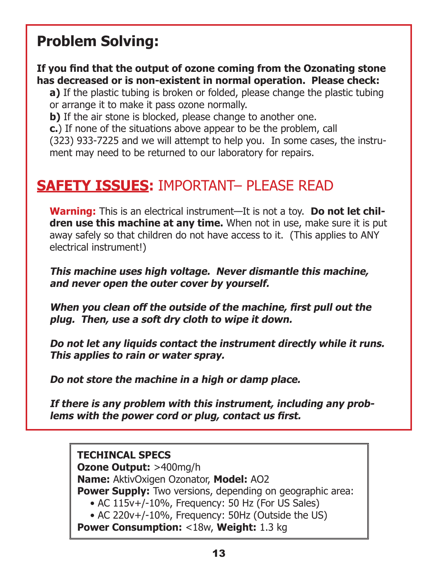# **Problem Solving:**

### If you find that the output of ozone coming from the Ozonating stone **has decreased or is non-existent in normal operation. Please check:**

**a)** If the plastic tubing is broken or folded, please change the plastic tubing or arrange it to make it pass ozone normally.

**b)** If the air stone is blocked, please change to another one.

**c.**) If none of the situations above appear to be the problem, call

(323) 933-7225 and we will attempt to help you. In some cases, the instrument may need to be returned to our laboratory for repairs.

### **SAFETY ISSUES:** IMPORTANT– PLEASE READ

**Warning:** This is an electrical instrument—It is not a toy. **Do not let children use this machine at any time.** When not in use, make sure it is put away safely so that children do not have access to it. (This applies to ANY electrical instrument!)

**This machine uses high voltage. Never dismantle this machine, and never open the outer cover by yourself.**

**When you clean off the outside of the machine, first pull out the plug. Then, use a soft dry cloth to wipe it down.** 

**Do not let any liquids contact the instrument directly while it runs. This applies to rain or water spray.** 

**Do not store the machine in a high or damp place.** 

**If there is any problem with this instrument, including any prob**lems with the power cord or plug, contact us first.

### **TECHINCAL SPECS**

**Ozone Output:** >400mg/h **Name:** AktivOxigen Ozonator, **Model:** AO2 **Power Supply:** Two versions, depending on geographic area: • AC 115v+/-10%, Frequency: 50 Hz (For US Sales) • AC 220v+/-10%, Frequency: 50Hz (Outside the US) **Power Consumption:** <18w, **Weight:** 1.3 kg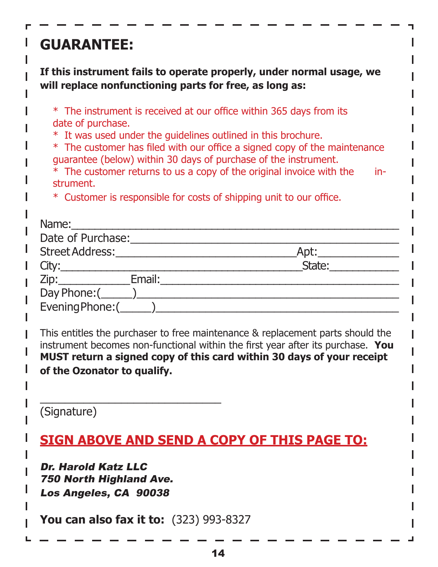# **GUARANTEE:**

**If this instrument fails to operate properly, under normal usage, we will replace nonfunctioning parts for free, as long as:** 

|  | * The instrument is received at our office within 365 days from its |  |  |  |  |  |
|--|---------------------------------------------------------------------|--|--|--|--|--|
|  | date of purchase.                                                   |  |  |  |  |  |

\* It was used under the guidelines outlined in this brochure.

\* The customer has filed with our office a signed copy of the maintenance guarantee (below) within 30 days of purchase of the instrument.

\* The customer returns to us a copy of the original invoice with the instrument.

\* Customer is responsible for costs of shipping unit to our office.

| Name:<br><u> 1980 - Jan Stein Harry Harry Harry Harry Harry Harry Harry Harry Harry Harry Harry Harry Harry Harry Harry</u> |        |
|-----------------------------------------------------------------------------------------------------------------------------|--------|
| Date of Purchase:                                                                                                           |        |
| Street Address:                                                                                                             | Apt:   |
| City:                                                                                                                       | State: |
| Email:<br>Zip:                                                                                                              |        |
|                                                                                                                             |        |
|                                                                                                                             |        |
|                                                                                                                             |        |

This entitles the purchaser to free maintenance & replacement parts should the instrument becomes non-functional within the first year after its purchase. You **MUST return a signed copy of this card within 30 days of your receipt of the Ozonator to qualify.** 

(Signature)

### **[SIGN ABOVE AND SEND A COPY OF THIS PAGE TO:](http://www.therabreath.com/oral-care-accessories/ozonator/?affid=2296)**

Dr. Harold Katz LLC 750 North Highland Ave. Los Angeles, CA 90038

**You can also fax it to:** (323) 993-8327

\_\_\_\_\_\_\_\_\_\_\_\_\_\_\_\_\_\_\_\_\_\_\_\_\_\_\_\_\_